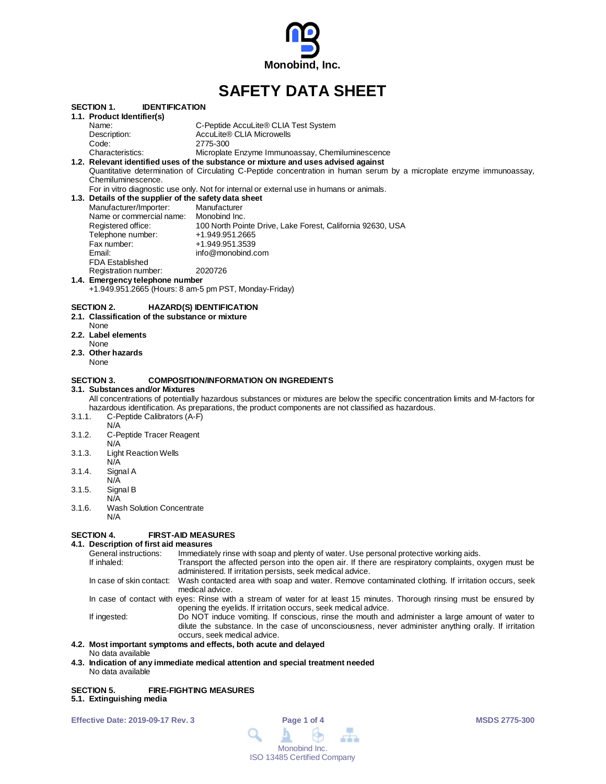

# **SAFETY DATA SHEET**

|        | <b>SECTION 1.</b><br><b>IDENTIFICATION</b>                                             |                                                                                                                                  |
|--------|----------------------------------------------------------------------------------------|----------------------------------------------------------------------------------------------------------------------------------|
|        | 1.1. Product Identifier(s)                                                             |                                                                                                                                  |
|        | Name:                                                                                  | C-Peptide AccuLite® CLIA Test System                                                                                             |
|        | Description:                                                                           | AccuLite® CLIA Microwells                                                                                                        |
|        | Code:                                                                                  | 2775-300                                                                                                                         |
|        | Characteristics:                                                                       | Microplate Enzyme Immunoassay, Chemiluminescence                                                                                 |
|        |                                                                                        | 1.2. Relevant identified uses of the substance or mixture and uses advised against                                               |
|        |                                                                                        | Quantitative determination of Circulating C-Peptide concentration in human serum by a microplate enzyme immunoassay,             |
|        | Chemiluminescence.                                                                     |                                                                                                                                  |
|        |                                                                                        | For in vitro diagnostic use only. Not for internal or external use in humans or animals.                                         |
|        | 1.3. Details of the supplier of the safety data sheet                                  |                                                                                                                                  |
|        | Manufacturer/Importer:                                                                 | Manufacturer                                                                                                                     |
|        | Name or commercial name: Monobind Inc.                                                 |                                                                                                                                  |
|        | Registered office:                                                                     | 100 North Pointe Drive, Lake Forest, California 92630, USA                                                                       |
|        | Telephone number:                                                                      | +1.949.951.2665                                                                                                                  |
|        | Fax number:                                                                            | +1.949.951.3539                                                                                                                  |
|        | Email:                                                                                 | info@monobind.com                                                                                                                |
|        | <b>FDA Established</b>                                                                 |                                                                                                                                  |
|        | Registration number:                                                                   | 2020726                                                                                                                          |
|        | 1.4. Emergency telephone number                                                        |                                                                                                                                  |
|        | +1.949.951.2665 (Hours: 8 am-5 pm PST, Monday-Friday)                                  |                                                                                                                                  |
|        | 2.1. Classification of the substance or mixture<br>None<br>2.2. Label elements<br>None |                                                                                                                                  |
|        | 2.3. Other hazards                                                                     |                                                                                                                                  |
|        | None                                                                                   |                                                                                                                                  |
|        |                                                                                        |                                                                                                                                  |
|        | <b>SECTION 3.</b>                                                                      | <b>COMPOSITION/INFORMATION ON INGREDIENTS</b>                                                                                    |
|        | 3.1. Substances and/or Mixtures                                                        |                                                                                                                                  |
|        |                                                                                        | All concentrations of potentially hazardous substances or mixtures are below the specific concentration limits and M-factors for |
|        |                                                                                        | hazardous identification. As preparations, the product components are not classified as hazardous.                               |
| 3.1.1. | C-Peptide Calibrators (A-F)<br>N/A                                                     |                                                                                                                                  |
| 3.1.2. | C-Peptide Tracer Reagent                                                               |                                                                                                                                  |
|        | N/A                                                                                    |                                                                                                                                  |
| 3.1.3. | <b>Light Reaction Wells</b>                                                            |                                                                                                                                  |
|        | N/A                                                                                    |                                                                                                                                  |
| 3.1.4. | Signal A                                                                               |                                                                                                                                  |
|        | N/A                                                                                    |                                                                                                                                  |
| 3.1.5. | Signal B                                                                               |                                                                                                                                  |
|        | N/A                                                                                    |                                                                                                                                  |
| 3.1.6. | <b>Wash Solution Concentrate</b>                                                       |                                                                                                                                  |
|        | N/A                                                                                    |                                                                                                                                  |

# **SECTION 4. FIRST-AID MEASURES**

# **4.1. Description of first aid measures**

| General instructions:                                       | Immediately rinse with soap and plenty of water. Use personal protective working aids.                                     |  |  |  |
|-------------------------------------------------------------|----------------------------------------------------------------------------------------------------------------------------|--|--|--|
| If inhaled:                                                 | Transport the affected person into the open air. If there are respiratory complaints, oxygen must be                       |  |  |  |
|                                                             | administered. If irritation persists, seek medical advice.                                                                 |  |  |  |
|                                                             | In case of skin contact: Wash contacted area with soap and water. Remove contaminated clothing. If irritation occurs, seek |  |  |  |
|                                                             | medical advice.                                                                                                            |  |  |  |
|                                                             | In case of contact with eyes: Rinse with a stream of water for at least 15 minutes. Thorough rinsing must be ensured by    |  |  |  |
|                                                             | opening the eyelids. If irritation occurs, seek medical advice.                                                            |  |  |  |
| If ingested:                                                | Do NOT induce vomiting. If conscious, rinse the mouth and administer a large amount of water to                            |  |  |  |
|                                                             | dilute the substance. In the case of unconsciousness, never administer anything orally. If irritation                      |  |  |  |
|                                                             | occurs, seek medical advice.                                                                                               |  |  |  |
| Most important symptoms and effects, both acute and delayed |                                                                                                                            |  |  |  |

# **4.2. Most important symptoms and effects, both acute and delayed**

- No data available
- **4.3. Indication of any immediate medical attention and special treatment needed** No data available

## **SECTION 5. FIRE-FIGHTING MEASURES 5.1. Extinguishing media**

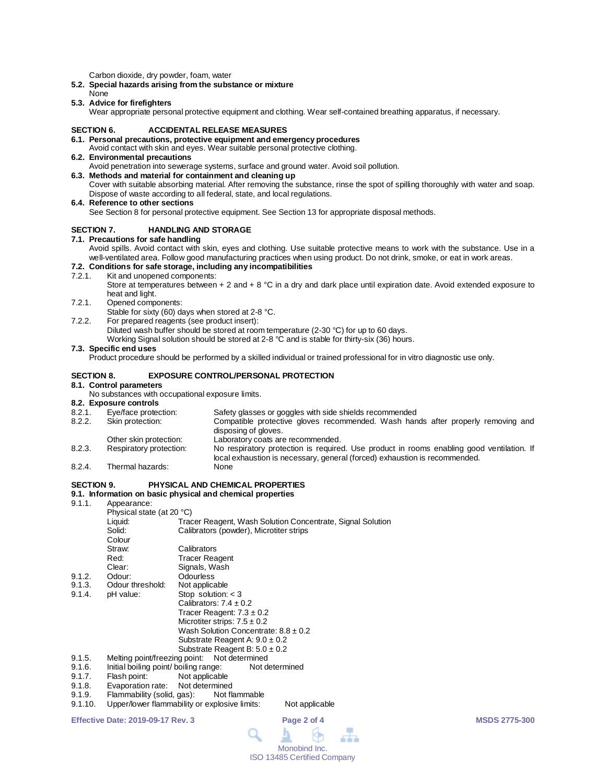Carbon dioxide, dry powder, foam, water

- **5.2. Special hazards arising from the substance or mixture**
- None **5.3. Advice for firefighters**

Wear appropriate personal protective equipment and clothing. Wear self-contained breathing apparatus, if necessary.

#### **SECTION 6. ACCIDENTAL RELEASE MEASURES**

- **6.1. Personal precautions, protective equipment and emergency procedures**
- Avoid contact with skin and eyes. Wear suitable personal protective clothing. **6.2. Environmental precautions**
- Avoid penetration into sewerage systems, surface and ground water. Avoid soil pollution.
- **6.3. Methods and material for containment and cleaning up** Cover with suitable absorbing material. After removing the substance, rinse the spot of spilling thoroughly with water and soap.

Dispose of waste according to all federal, state, and local regulations.

**6.4. Reference to other sections**

See Section 8 for personal protective equipment. See Section 13 for appropriate disposal methods.

### **SECTION 7. HANDLING AND STORAGE**

**7.1. Precautions for safe handling**

Avoid spills. Avoid contact with skin, eyes and clothing. Use suitable protective means to work with the substance. Use in a well-ventilated area. Follow good manufacturing practices when using product. Do not drink, smoke, or eat in work areas.

# **7.2. Conditions for safe storage, including any incompatibilities**

Kit and unopened components:

Store at temperatures between + 2 and + 8  $^{\circ}$ C in a dry and dark place until expiration date. Avoid extended exposure to heat and light.

- 7.2.1. Opened components:
- Stable for sixty (60) days when stored at 2-8 °C.

7.2.2. For prepared reagents (see product insert): Diluted wash buffer should be stored at room temperature (2-30 °C) for up to 60 days. Working Signal solution should be stored at 2-8 °C and is stable for thirty-six (36) hours.

#### **7.3. Specific end uses**

Product procedure should be performed by a skilled individual or trained professional for in vitro diagnostic use only.

## **SECTION 8. EXPOSURE CONTROL/PERSONAL PROTECTION**

## **8.1. Control parameters**

No substances with occupational exposure limits.

# **8.2. Exposure controls**

- 8.2.1. Eye/face protection: Safety glasses or goggles with side shields recommended<br>8.2.2. Skin protection: Compatible protective gloves recommended. Wash han
- Skin protection: Compatible protective gloves recommended. Wash hands after properly removing and disposing of gloves.
- Other skin protection: Laboratory coats are recommended.<br>
Respiratory protection: No respiratory protection is required 8.2.3. Respiratory protection: No respiratory protection is required. Use product in rooms enabling good ventilation. If local exhaustion is necessary, general (forced) exhaustion is recommended.
- 8.2.4. Thermal hazards: None

## **SECTION 9. PHYSICAL AND CHEMICAL PROPERTIES**

#### **9.1. Information on basic physical and chemical properties**

9.1.1. Appearance:

|        | Physical state (at 20 °C)                               |                                                            |  |  |  |
|--------|---------------------------------------------------------|------------------------------------------------------------|--|--|--|
|        | Liquid:                                                 | Tracer Reagent, Wash Solution Concentrate, Signal Solution |  |  |  |
|        | Solid:                                                  | Calibrators (powder), Microtiter strips                    |  |  |  |
|        | Colour                                                  |                                                            |  |  |  |
|        | Straw:                                                  | Calibrators                                                |  |  |  |
|        | Red:                                                    | <b>Tracer Reagent</b>                                      |  |  |  |
|        | Clear:                                                  | Signals, Wash                                              |  |  |  |
| 9.1.2. | Odour:                                                  | Odourless                                                  |  |  |  |
| 9.1.3. | Odour threshold:                                        | Not applicable                                             |  |  |  |
| 9.1.4. | pH value:                                               | Stop solution: $<$ 3                                       |  |  |  |
|        |                                                         | Calibrators: $7.4 \pm 0.2$                                 |  |  |  |
|        |                                                         | Tracer Reagent: $7.3 \pm 0.2$                              |  |  |  |
|        |                                                         | Microtiter strips: $7.5 \pm 0.2$                           |  |  |  |
|        |                                                         | Wash Solution Concentrate: $8.8 \pm 0.2$                   |  |  |  |
|        |                                                         | Substrate Reagent A: $9.0 \pm 0.2$                         |  |  |  |
|        |                                                         | Substrate Reagent B: $5.0 \pm 0.2$                         |  |  |  |
| 9.1.5. | Melting point/freezing point: Not determined            |                                                            |  |  |  |
| 9.1.6. | Initial boiling point/ boiling range:<br>Not determined |                                                            |  |  |  |
| 9.1.7. | Flash point:                                            | Not applicable                                             |  |  |  |

- 
- 9.1.8. Evaporation rate: Not determined<br>9.1.9. Flammability (solid, gas): Not flammable
- 9.1.9. Flammability (solid, gas):<br>9.1.10. Upper/lower flammability
- Upper/lower flammability or explosive limits: Not applicable

**Effective Date: 2019-09-17 Rev. 3 Page 2 of 4 MSDS 2775-300**

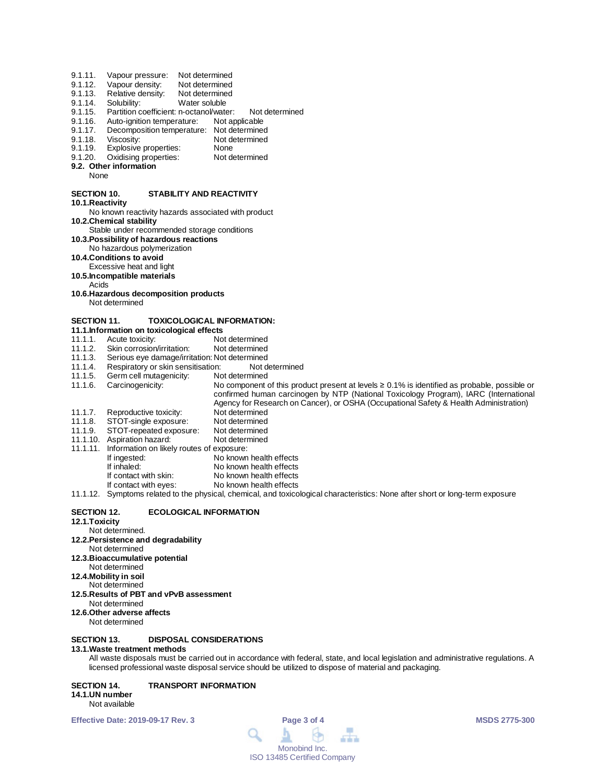| 9.1.11.            | Vapour pressure:                            | Not determined                                                                                                                 |  |  |
|--------------------|---------------------------------------------|--------------------------------------------------------------------------------------------------------------------------------|--|--|
| 9.1.12.            | Vapour density:                             | Not determined                                                                                                                 |  |  |
| 9.1.13.            | Relative density:                           | Not determined                                                                                                                 |  |  |
| 9.1.14.            | Solubility:                                 | Water soluble                                                                                                                  |  |  |
| 9.1.15.            | Partition coefficient: n-octanol/water:     | Not determined                                                                                                                 |  |  |
| 9.1.16.            | Auto-ignition temperature:                  | Not applicable                                                                                                                 |  |  |
| 9.1.17.            |                                             | Decomposition temperature: Not determined                                                                                      |  |  |
| 9.1.18.            | Viscosity:                                  | Not determined                                                                                                                 |  |  |
| 9.1.19.            | Explosive properties:                       | None                                                                                                                           |  |  |
| 9.1.20.            | Oxidising properties:                       | Not determined                                                                                                                 |  |  |
|                    | 9.2. Other information                      |                                                                                                                                |  |  |
| None               |                                             |                                                                                                                                |  |  |
| <b>SECTION 10.</b> |                                             | <b>STABILITY AND REACTIVITY</b>                                                                                                |  |  |
| 10.1. Reactivity   |                                             |                                                                                                                                |  |  |
|                    | 10.2. Chemical stability                    | No known reactivity hazards associated with product                                                                            |  |  |
|                    | Stable under recommended storage conditions |                                                                                                                                |  |  |
|                    | 10.3. Possibility of hazardous reactions    |                                                                                                                                |  |  |
|                    | No hazardous polymerization                 |                                                                                                                                |  |  |
|                    | 10.4. Conditions to avoid                   |                                                                                                                                |  |  |
|                    | Excessive heat and light                    |                                                                                                                                |  |  |
|                    | 10.5. Incompatible materials                |                                                                                                                                |  |  |
| Acids              | 10.6. Hazardous decomposition products      |                                                                                                                                |  |  |
|                    | Not determined                              |                                                                                                                                |  |  |
|                    |                                             |                                                                                                                                |  |  |
| <b>SECTION 11.</b> |                                             | <b>TOXICOLOGICAL INFORMATION:</b>                                                                                              |  |  |
|                    | 11.1. Information on toxicological effects  |                                                                                                                                |  |  |
| 11.1.1.            | Acute toxicity:                             | Not determined                                                                                                                 |  |  |
| 11.1.2.            | Skin corrosion/irritation:                  | Not determined                                                                                                                 |  |  |
| 11.1.3.            |                                             | Serious eye damage/irritation: Not determined                                                                                  |  |  |
| 11.1.4.            | Respiratory or skin sensitisation:          | Not determined                                                                                                                 |  |  |
| 11.1.5.            | Germ cell mutagenicity:                     | Not determined                                                                                                                 |  |  |
| 11.1.6.            | Carcinogenicity:                            | No component of this product present at levels $\geq 0.1\%$ is identified as probable, possible or                             |  |  |
|                    |                                             | confirmed human carcinogen by NTP (National Toxicology Program), IARC (International                                           |  |  |
|                    |                                             | Agency for Research on Cancer), or OSHA (Occupational Safety & Health Administration)                                          |  |  |
| 11.1.7.            | Reproductive toxicity:                      | Not determined                                                                                                                 |  |  |
| 11.1.8.            | STOT-single exposure:                       | Not determined                                                                                                                 |  |  |
| 11.1.9.            | STOT-repeated exposure:                     | Not determined                                                                                                                 |  |  |
|                    | 11.1.10. Aspiration hazard:                 | Not determined                                                                                                                 |  |  |
| 11.1.11.           | Information on likely routes of exposure:   |                                                                                                                                |  |  |
|                    | If ingested:                                | No known health effects                                                                                                        |  |  |
|                    | If inhaled:                                 | No known health effects                                                                                                        |  |  |
|                    | If contact with skin:                       | No known health effects                                                                                                        |  |  |
|                    | If contact with eyes:                       | No known health effects                                                                                                        |  |  |
|                    |                                             | 11.1.12. Symptoms related to the physical, chemical, and toxicological characteristics: None after short or long-term exposure |  |  |
| <b>SECTION 12.</b> |                                             | <b>ECOLOGICAL INFORMATION</b>                                                                                                  |  |  |
| 12.1.Toxicity      |                                             |                                                                                                                                |  |  |

- Not determined.
- **12.2.Persistence and degradability** Not determined
- **12.3.Bioaccumulative potential**
- Not determined
- **12.4.Mobility in soil**
- Not determined
- **12.5.Results of PBT and vPvB assessment**
- Not determined **12.6.Other adverse affects**
- Not determined

# **SECTION 13. DISPOSAL CONSIDERATIONS**

# **13.1.Waste treatment methods**

All waste disposals must be carried out in accordance with federal, state, and local legislation and administrative regulations. A licensed professional waste disposal service should be utilized to dispose of material and packaging.

# **SECTION 14. TRANSPORT INFORMATION**

#### **14.1.UN number** Not available